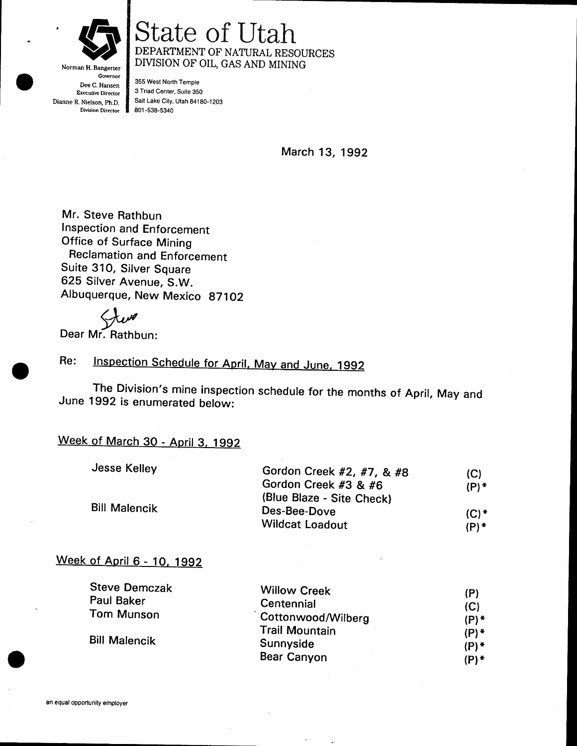

Governor Dee C. Hansen Executive Director Dianne R. Nielson, Ph.D. Division Director

### State of Utah DEPARTMENT OF NATURAL RESOURCES DIVISION OF OIL, GAS AND MINING

355 West North Temple 3 Triad Center, Suite 3S0 Salt Lake City, Utah 84180-1203 801 -538-s340

March 13, 1992

Mr. Steve Rathbun Inspection and Enforcement Office of Surface Mining Reclamation and Enforcement Suite 310, Silver Square 625 Silver Avenue, S.W. Albuquerque, New Mexico 87102

 $\bigtriangledown \omega$ 

Dear Mr. Rathbun:

#### Re: Inspection Schedule for April, May and June, 1992

The Division's mine inspection schedule for the months of April, May and June 1992 is enumerated betow:

### Week of March 30 - April 3, 1992

| Jesse Kelley         | Gordon Creek #2, #7, & #8 | (C)     |
|----------------------|---------------------------|---------|
| <b>Bill Malencik</b> | Gordon Creek #3 & #6      | (P) *   |
|                      | (Blue Blaze - Site Check) |         |
|                      | Des-Bee-Dove              | $(C)$ * |
|                      | <b>Wildcat Loadout</b>    | (P) *   |

#### Week of April 6 - 10, 1992

| <b>Steve Demczak</b> | <b>Willow Creek</b>   | (P)     |
|----------------------|-----------------------|---------|
| Paul Baker           | Centennial            | (C)     |
| Tom Munson           | Cottonwood/Wilberg    | $(P)$ * |
| <b>Bill Malencik</b> | <b>Trail Mountain</b> | $(P)$ * |
|                      | Sunnyside             | $(P)$ * |
|                      | <b>Bear Canyon</b>    | (P) *   |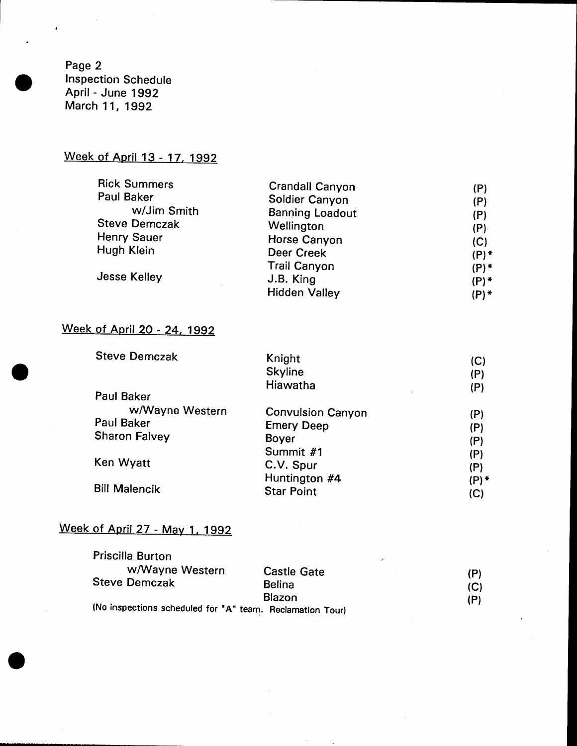Page 2 Inspection Schedule April - June 1992 March 11, 1992

 $\bullet$ 

### Week of April 13 - 17, 1992

| <b>Rick Summers</b>  | <b>Crandall Canyon</b> | (P)     |
|----------------------|------------------------|---------|
| Paul Baker           | Soldier Canyon         | (P)     |
| w/Jim Smith          | <b>Banning Loadout</b> | (P)     |
| <b>Steve Demczak</b> | Wellington             | (P)     |
| Henry Sauer          | Horse Canyon           | (C)     |
| Hugh Klein           | Deer Creek             | $(P)$ * |
|                      | <b>Trail Canyon</b>    | $(P)$ * |
| Jesse Kelley         | J.B. King              | $(P)$ * |
|                      | <b>Hidden Valley</b>   | $(P)$ * |
|                      |                        |         |

# Week of April 20 - 24, 1992

| <b>Steve Demczak</b> | Knight                   | (C)     |
|----------------------|--------------------------|---------|
|                      | <b>Skyline</b>           | (P)     |
|                      | Hiawatha                 | (P)     |
| Paul Baker           |                          |         |
| w/Wayne Western      | <b>Convulsion Canyon</b> | (P)     |
| Paul Baker           | <b>Emery Deep</b>        | (P)     |
| <b>Sharon Falvey</b> | <b>Boyer</b>             | (P)     |
|                      | Summit #1                | (P)     |
| Ken Wyatt            | C.V. Spur                | (P)     |
|                      | Huntington #4            | $(P)$ * |
| <b>Bill Malencik</b> | <b>Star Point</b>        | (C)     |

# Week of April 27 - May 1, 1992

| Priscilla Burton                                          |                    |     |
|-----------------------------------------------------------|--------------------|-----|
| w/Wayne Western                                           | <b>Castle Gate</b> | (P) |
| <b>Steve Demczak</b>                                      | <b>Belina</b>      | (C) |
|                                                           | Blazon             | (P) |
| (No inspections scheduled for "A" team. Reclamation Tour) |                    |     |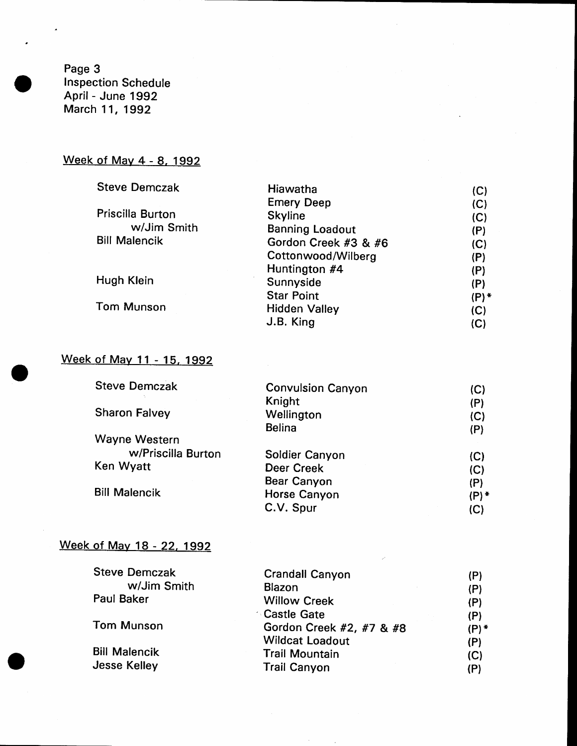Page 3 Inspection Schedule April - June 1992 March 11, 1992

# Week of May 4 - 8, 1992

| <b>Steve Demczak</b> | Hiawatha               | (C)     |
|----------------------|------------------------|---------|
|                      | <b>Emery Deep</b>      | (C)     |
| Priscilla Burton     | <b>Skyline</b>         | (C)     |
| w/Jim Smith          | <b>Banning Loadout</b> | (P)     |
| <b>Bill Malencik</b> | Gordon Creek #3 & #6   | (C)     |
|                      | Cottonwood/Wilberg     | (P)     |
|                      | Huntington #4          | (P)     |
| Hugh Klein           | Sunnyside              | (P)     |
|                      | <b>Star Point</b>      | $(P)$ * |
| <b>Tom Munson</b>    | <b>Hidden Valley</b>   | (C)     |
|                      | J.B. King              | (C)     |

# Week of May 11 - 15, 1992

| <b>Steve Demczak</b> | <b>Convulsion Canyon</b> | (C)   |
|----------------------|--------------------------|-------|
|                      | Knight                   | (P)   |
| <b>Sharon Falvey</b> | Wellington               | (C)   |
|                      | <b>Belina</b>            | (P)   |
| Wayne Western        |                          |       |
| w/Priscilla Burton   | Soldier Canyon           | (C)   |
| Ken Wyatt            | <b>Deer Creek</b>        | (C)   |
|                      | <b>Bear Canyon</b>       | (P)   |
| <b>Bill Malencik</b> | Horse Canyon             | (P) * |
|                      | C.V. Spur                | (C)   |
|                      |                          |       |

# Week of May 18 - 22, 1992

| <b>Steve Demczak</b> | <b>Crandall Canyon</b>   | (P)   |
|----------------------|--------------------------|-------|
| w/Jim Smith          | Blazon                   | (P)   |
| Paul Baker           | <b>Willow Creek</b>      | (P)   |
|                      | ∴ Castle Gate            | (P)   |
| <b>Tom Munson</b>    | Gordon Creek #2, #7 & #8 | (P) * |
|                      | <b>Wildcat Loadout</b>   | (P)   |
| <b>Bill Malencik</b> | <b>Trail Mountain</b>    | (C)   |
| <b>Jesse Kelley</b>  | <b>Trail Canyon</b>      | (P)   |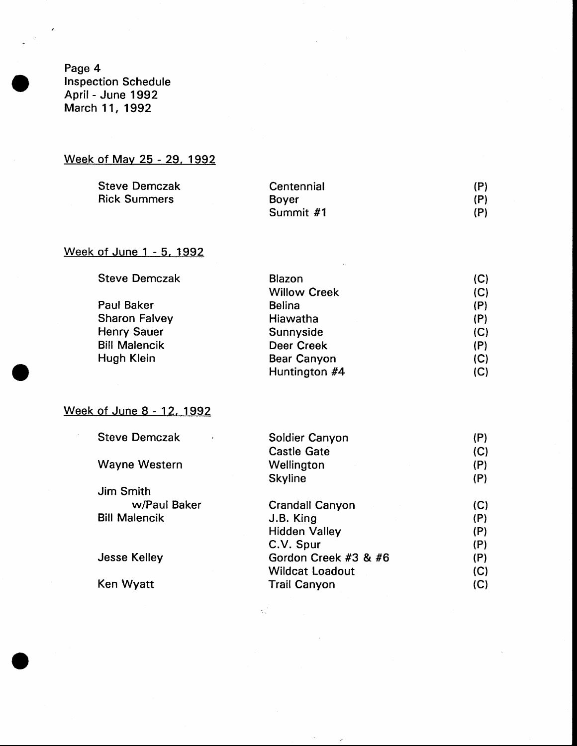Page 4 Inspection Schedule April - June 1992 March 11, 1992

### Week of May 25 - 29, 1992

| <b>Steve Demczak</b> | Centennial   | (P) |
|----------------------|--------------|-----|
| <b>Rick Summers</b>  | <b>Bover</b> | (P) |
|                      | Summit #1    | (P) |

### Week of June 1 - 5. 1992

| <b>Steve Demczak</b> | Blazon              | (C) |
|----------------------|---------------------|-----|
|                      | <b>Willow Creek</b> | (C) |
| Paul Baker           | <b>Belina</b>       | (P) |
| <b>Sharon Falvey</b> | Hiawatha            | (P) |
| <b>Henry Sauer</b>   | Sunnyside           | (C) |
| <b>Bill Malencik</b> | <b>Deer Creek</b>   | (P) |
| Hugh Klein           | <b>Bear Canyon</b>  | (C) |
|                      | Huntington #4       | (C) |

#### Week of June 8 - 12, 1992

 $\mathcal{L}_{\mathcal{A}}$ 

| <b>Steve Demczak</b> | Soldier Canyon         | (P) |
|----------------------|------------------------|-----|
|                      | <b>Castle Gate</b>     | (C) |
| Wayne Western        | Wellington             | (P) |
|                      | <b>Skyline</b>         | (P) |
| Jim Smith            |                        |     |
| w/Paul Baker         | <b>Crandall Canyon</b> | (C) |
| <b>Bill Malencik</b> | J.B. King              | (P) |
|                      | <b>Hidden Valley</b>   | (P) |
|                      | C.V. Spur              | (P) |
| <b>Jesse Kelley</b>  | Gordon Creek #3 & #6   | (P) |
|                      | <b>Wildcat Loadout</b> | (C) |
| Ken Wyatt            | <b>Trail Canyon</b>    | (C) |
|                      |                        |     |

 $\mathcal{L}_{\mathcal{N}}^{(1)}$  .